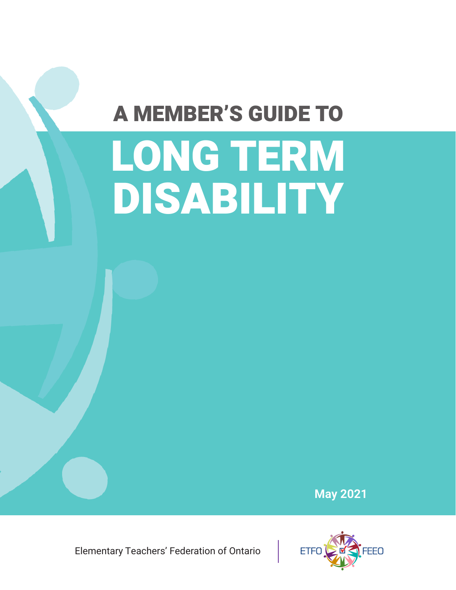# A MEMBER'S GUIDE TO

# LONG TERM DISABILITY

**May 2021**

Elementary Teachers' Federation of Ontario

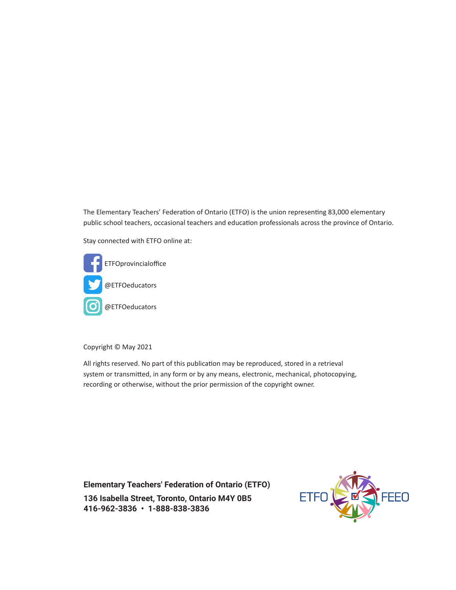The Elementary Teachers' Federation of Ontario (ETFO) is the union representing 83,000 elementary public school teachers, occasional teachers and education professionals across the province of Ontario.

Stay connected with ETFO online at:



Copyright © May 2021

All rights reserved. No part of this publication may be reproduced, stored in a retrieval system or transmitted, in any form or by any means, electronic, mechanical, photocopying, recording or otherwise, without the prior permission of the copyright owner.

**Elementary Teachers' Federation of Ontario (ETFO) 136 Isabella Street, Toronto, Ontario M4Y 0B5 416-962-3836 • 1-888-838-3836**

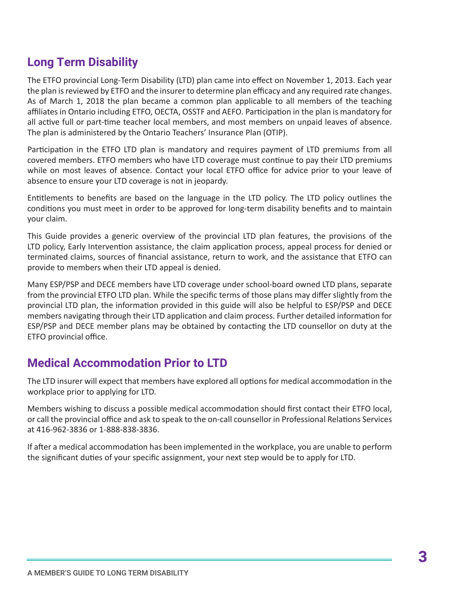# **Long Term Disability**

The ETFO provincial Long-Term Disability (LTD) plan came into effect on November 1, 2013. Each year the plan is reviewed by ETFO and the insurer to determine plan efficacy and any required rate changes. As of March 1, 2018 the plan became a common plan applicable to all members of the teaching affiliates in Ontario including ETFO, OECTA, OSSTF and AEFO. Participation in the plan is mandatory for all active full or part-time teacher local members, and most members on unpaid leaves of absence. The plan is administered by the Ontario Teachers' Insurance Plan (OTIP).

Participation in the ETFO LTD plan is mandatory and requires payment of LTD premiums from all covered members. ETFO members who have LTD coverage must continue to pay their LTD premiums while on most leaves of absence. Contact your local ETFO office for advice prior to your leave of absence to ensure your LTD coverage is not in jeopardy.

Entitlements to benefits are based on the language in the LTD policy. The LTD policy outlines the conditions you must meet in order to be approved for long-term disability benefits and to maintain your claim.

This Guide provides a generic overview of the provincial LTD plan features, the provisions of the LTD policy, Early Intervention assistance, the claim application process, appeal process for denied or terminated claims, sources of financial assistance, return to work, and the assistance that ETFO can provide to members when their LTD appeal is denied.

Many ESP/PSP and DECE members have LTD coverage under school-board owned LTD plans, separate from the provincial ETFO LTD plan. While the specific terms of those plans may differ slightly from the provincial LTD plan, the information provided in this guide will also be helpful to ESP/PSP and DECE members navigating through their LTD application and claim process. Further detailed information for ESP/PSP and DECE member plans may be obtained by contacting the LTD counsellor on duty at the ETFO provincial office.

# **Medical Accommodation Prior to LTD**

The LTD insurer will expect that members have explored all options for medical accommodation in the workplace prior to applying for LTD.

Members wishing to discuss a possible medical accommodation should first contact their ETFO local, or call the provincial office and ask to speak to the on-call counsellor in Professional Relations Services at 416-962-3836 or 1-888-838-3836.

If after a medical accommodation has been implemented in the workplace, you are unable to perform the significant duties of your specific assignment, your next step would be to apply for LTD.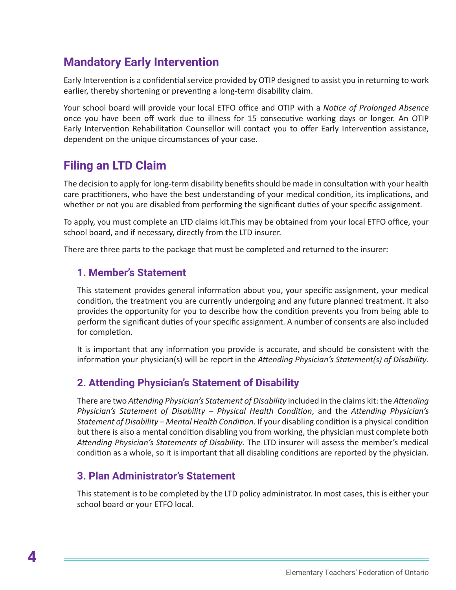# **Mandatory Early Intervention**

Early Intervention is a confidential service provided by OTIP designed to assist you in returning to work earlier, thereby shortening or preventing a long-term disability claim.

Your school board will provide your local ETFO office and OTIP with a *Notice of Prolonged Absence* once you have been off work due to illness for 15 consecutive working days or longer. An OTIP Early Intervention Rehabilitation Counsellor will contact you to offer Early Intervention assistance, dependent on the unique circumstances of your case.

# **Filing an LTD Claim**

The decision to apply for long-term disability benefits should be made in consultation with your health care practitioners, who have the best understanding of your medical condition, its implications, and whether or not you are disabled from performing the significant duties of your specific assignment.

To apply, you must complete an LTD claims kit.This may be obtained from your local ETFO office, your school board, and if necessary, directly from the LTD insurer.

There are three parts to the package that must be completed and returned to the insurer:

#### **1. Member's Statement**

This statement provides general information about you, your specific assignment, your medical condition, the treatment you are currently undergoing and any future planned treatment. It also provides the opportunity for you to describe how the condition prevents you from being able to perform the significant duties of your specific assignment. A number of consents are also included for completion.

It is important that any information you provide is accurate, and should be consistent with the information your physician(s) will be report in the *Attending Physician's Statement(s) of Disability*.

#### **2. Attending Physician's Statement of Disability**

There are two *Attending Physician's Statement of Disability* included in the claims kit: the *Attending Physician's Statement of Disability – Physical Health Condition*, and the *Attending Physician's Statement of Disability – Mental Health Condition*. If your disabling condition is a physical condition but there is also a mental condition disabling you from working, the physician must complete both *Attending Physician's Statements of Disability*. The LTD insurer will assess the member's medical condition as a whole, so it is important that all disabling conditions are reported by the physician.

#### **3. Plan Administrator's Statement**

This statement is to be completed by the LTD policy administrator. In most cases, this is either your school board or your ETFO local.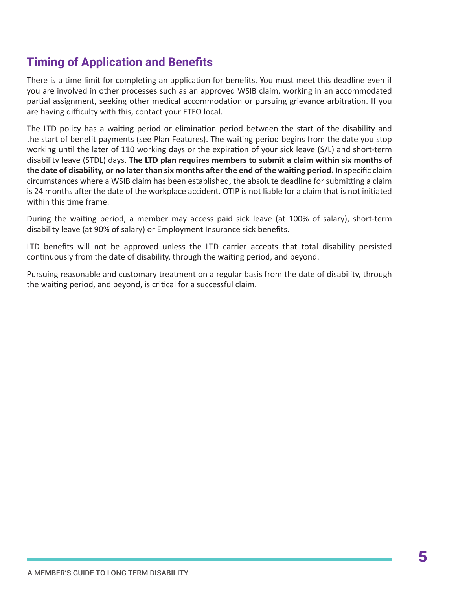# **Timing of Application and Benefits**

There is a time limit for completing an application for benefits. You must meet this deadline even if you are involved in other processes such as an approved WSIB claim, working in an accommodated partial assignment, seeking other medical accommodation or pursuing grievance arbitration. If you are having difficulty with this, contact your ETFO local.

The LTD policy has a waiting period or elimination period between the start of the disability and the start of benefit payments (see Plan Features). The waiting period begins from the date you stop working until the later of 110 working days or the expiration of your sick leave (S/L) and short-term disability leave (STDL) days. **The LTD plan requires members to submit a claim within six months of the date of disability, or no later than six months after the end of the waiting period.** In specific claim circumstances where a WSIB claim has been established, the absolute deadline for submitting a claim is 24 months after the date of the workplace accident. OTIP is not liable for a claim that is not initiated within this time frame.

During the waiting period, a member may access paid sick leave (at 100% of salary), short-term disability leave (at 90% of salary) or Employment Insurance sick benefits.

LTD benefits will not be approved unless the LTD carrier accepts that total disability persisted continuously from the date of disability, through the waiting period, and beyond.

Pursuing reasonable and customary treatment on a regular basis from the date of disability, through the waiting period, and beyond, is critical for a successful claim.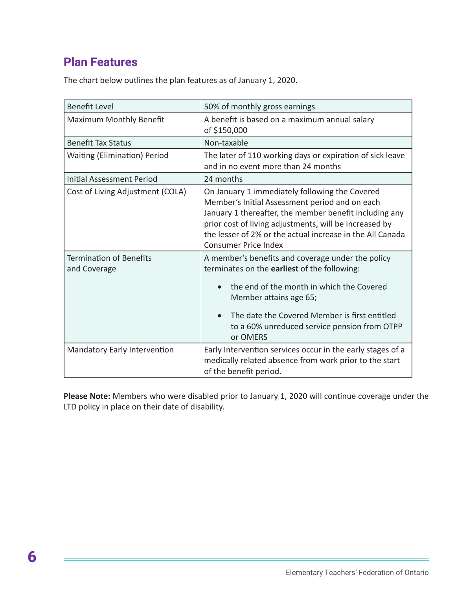# **Plan Features**

The chart below outlines the plan features as of January 1, 2020.

| <b>Benefit Level</b>                           | 50% of monthly gross earnings                                                                                                                                                                                                                                                                                    |
|------------------------------------------------|------------------------------------------------------------------------------------------------------------------------------------------------------------------------------------------------------------------------------------------------------------------------------------------------------------------|
| Maximum Monthly Benefit                        | A benefit is based on a maximum annual salary<br>of \$150,000                                                                                                                                                                                                                                                    |
| <b>Benefit Tax Status</b>                      | Non-taxable                                                                                                                                                                                                                                                                                                      |
| <b>Waiting (Elimination) Period</b>            | The later of 110 working days or expiration of sick leave<br>and in no event more than 24 months                                                                                                                                                                                                                 |
| <b>Initial Assessment Period</b>               | 24 months                                                                                                                                                                                                                                                                                                        |
| Cost of Living Adjustment (COLA)               | On January 1 immediately following the Covered<br>Member's Initial Assessment period and on each<br>January 1 thereafter, the member benefit including any<br>prior cost of living adjustments, will be increased by<br>the lesser of 2% or the actual increase in the All Canada<br><b>Consumer Price Index</b> |
| <b>Termination of Benefits</b><br>and Coverage | A member's benefits and coverage under the policy<br>terminates on the earliest of the following:<br>the end of the month in which the Covered<br>$\bullet$<br>Member attains age 65;<br>The date the Covered Member is first entitled<br>$\bullet$<br>to a 60% unreduced service pension from OTPP<br>or OMERS  |
| Mandatory Early Intervention                   | Early Intervention services occur in the early stages of a<br>medically related absence from work prior to the start<br>of the benefit period.                                                                                                                                                                   |

**Please Note:** Members who were disabled prior to January 1, 2020 will continue coverage under the LTD policy in place on their date of disability.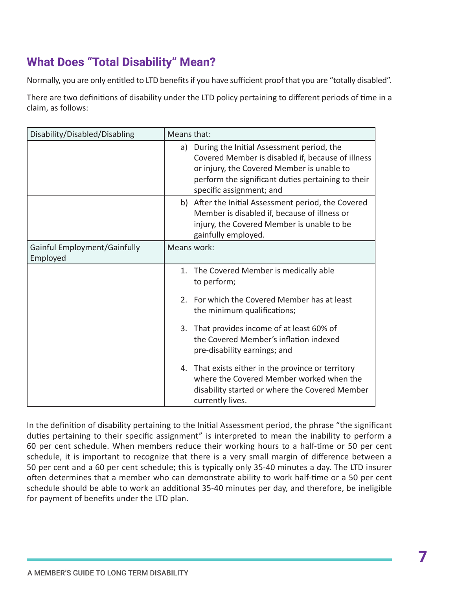# **What Does "Total Disability" Mean?**

Normally, you are only entitled to LTD benefits if you have sufficient proof that you are "totally disabled".

There are two definitions of disability under the LTD policy pertaining to different periods of time in a claim, as follows:

| Disability/Disabled/Disabling            | Means that:                                                                                                                                                                                                                       |  |
|------------------------------------------|-----------------------------------------------------------------------------------------------------------------------------------------------------------------------------------------------------------------------------------|--|
|                                          | a) During the Initial Assessment period, the<br>Covered Member is disabled if, because of illness<br>or injury, the Covered Member is unable to<br>perform the significant duties pertaining to their<br>specific assignment; and |  |
|                                          | b) After the Initial Assessment period, the Covered<br>Member is disabled if, because of illness or<br>injury, the Covered Member is unable to be<br>gainfully employed.                                                          |  |
| Gainful Employment/Gainfully<br>Employed | Means work:                                                                                                                                                                                                                       |  |
|                                          | The Covered Member is medically able<br>1.<br>to perform;                                                                                                                                                                         |  |
|                                          | 2. For which the Covered Member has at least<br>the minimum qualifications;                                                                                                                                                       |  |
|                                          | 3. That provides income of at least 60% of<br>the Covered Member's inflation indexed<br>pre-disability earnings; and                                                                                                              |  |
|                                          | 4. That exists either in the province or territory<br>where the Covered Member worked when the<br>disability started or where the Covered Member<br>currently lives.                                                              |  |

In the definition of disability pertaining to the Initial Assessment period, the phrase "the significant duties pertaining to their specific assignment" is interpreted to mean the inability to perform a 60 per cent schedule. When members reduce their working hours to a half-time or 50 per cent schedule, it is important to recognize that there is a very small margin of difference between a 50 per cent and a 60 per cent schedule; this is typically only 35-40 minutes a day. The LTD insurer often determines that a member who can demonstrate ability to work half-time or a 50 per cent schedule should be able to work an additional 35-40 minutes per day, and therefore, be ineligible for payment of benefits under the LTD plan.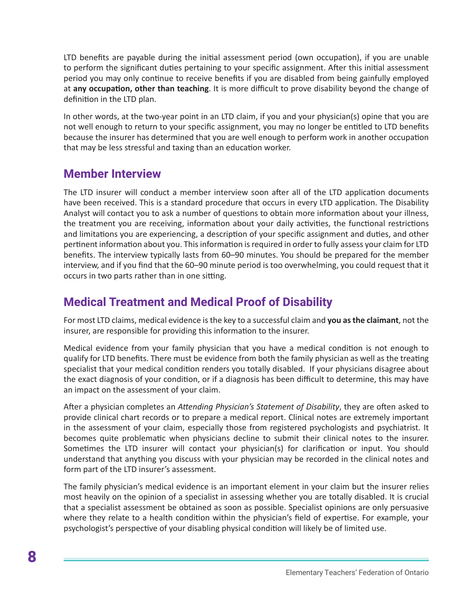LTD benefits are payable during the initial assessment period (own occupation), if you are unable to perform the significant duties pertaining to your specific assignment. After this initial assessment period you may only continue to receive benefits if you are disabled from being gainfully employed at **any occupation, other than teaching**. It is more difficult to prove disability beyond the change of definition in the LTD plan.

In other words, at the two-year point in an LTD claim, if you and your physician(s) opine that you are not well enough to return to your specific assignment, you may no longer be entitled to LTD benefits because the insurer has determined that you are well enough to perform work in another occupation that may be less stressful and taxing than an education worker.

# **Member Interview**

The LTD insurer will conduct a member interview soon after all of the LTD application documents have been received. This is a standard procedure that occurs in every LTD application. The Disability Analyst will contact you to ask a number of questions to obtain more information about your illness, the treatment you are receiving, information about your daily activities, the functional restrictions and limitations you are experiencing, a description of your specific assignment and duties, and other pertinent information about you. This information is required in order to fully assess your claim for LTD benefits. The interview typically lasts from 60–90 minutes. You should be prepared for the member interview, and if you find that the 60–90 minute period is too overwhelming, you could request that it occurs in two parts rather than in one sitting.

# **Medical Treatment and Medical Proof of Disability**

For most LTD claims, medical evidence is the key to a successful claim and **you as the claimant**, not the insurer, are responsible for providing this information to the insurer.

Medical evidence from your family physician that you have a medical condition is not enough to qualify for LTD benefits. There must be evidence from both the family physician as well as the treating specialist that your medical condition renders you totally disabled. If your physicians disagree about the exact diagnosis of your condition, or if a diagnosis has been difficult to determine, this may have an impact on the assessment of your claim.

After a physician completes an *Attending Physician's Statement of Disability*, they are often asked to provide clinical chart records or to prepare a medical report. Clinical notes are extremely important in the assessment of your claim, especially those from registered psychologists and psychiatrist. It becomes quite problematic when physicians decline to submit their clinical notes to the insurer. Sometimes the LTD insurer will contact your physician(s) for clarification or input. You should understand that anything you discuss with your physician may be recorded in the clinical notes and form part of the LTD insurer's assessment.

The family physician's medical evidence is an important element in your claim but the insurer relies most heavily on the opinion of a specialist in assessing whether you are totally disabled. It is crucial that a specialist assessment be obtained as soon as possible. Specialist opinions are only persuasive where they relate to a health condition within the physician's field of expertise. For example, your psychologist's perspective of your disabling physical condition will likely be of limited use.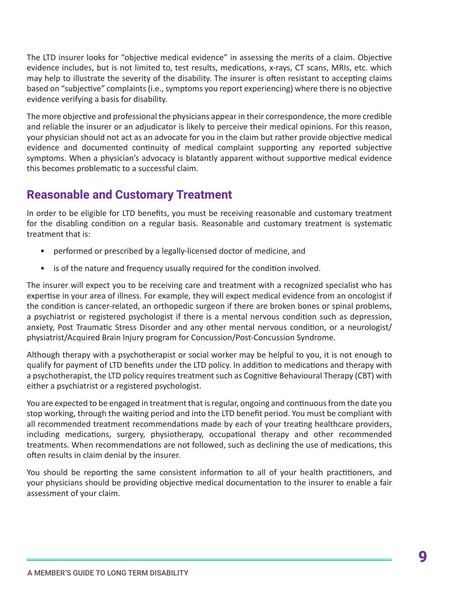The LTD insurer looks for "objective medical evidence" in assessing the merits of a claim. Objective evidence includes, but is not limited to, test results, medications, x-rays, CT scans, MRIs, etc. which may help to illustrate the severity of the disability. The insurer is often resistant to accepting claims based on "subjective" complaints (i.e., symptoms you report experiencing) where there is no objective evidence verifying a basis for disability.

The more objective and professional the physicians appear in their correspondence, the more credible and reliable the insurer or an adjudicator is likely to perceive their medical opinions. For this reason, your physician should not act as an advocate for you in the claim but rather provide objective medical evidence and documented continuity of medical complaint supporting any reported subjective symptoms. When a physician's advocacy is blatantly apparent without supportive medical evidence this becomes problematic to a successful claim.

# **Reasonable and Customary Treatment**

In order to be eligible for LTD benefits, you must be receiving reasonable and customary treatment for the disabling condition on a regular basis. Reasonable and customary treatment is systematic treatment that is:

- performed or prescribed by a legally-licensed doctor of medicine, and
- is of the nature and frequency usually required for the condition involved.

The insurer will expect you to be receiving care and treatment with a recognized specialist who has expertise in your area of illness. For example, they will expect medical evidence from an oncologist if the condition is cancer-related, an orthopedic surgeon if there are broken bones or spinal problems, a psychiatrist or registered psychologist if there is a mental nervous condition such as depression, anxiety, Post Traumatic Stress Disorder and any other mental nervous condition, or a neurologist/ physiatrist/Acquired Brain Injury program for Concussion/Post-Concussion Syndrome.

Although therapy with a psychotherapist or social worker may be helpful to you, it is not enough to qualify for payment of LTD benefits under the LTD policy. In addition to medications and therapy with a psychotherapist, the LTD policy requires treatment such as Cognitive Behavioural Therapy (CBT) with either a psychiatrist or a registered psychologist.

You are expected to be engaged in treatment that is regular, ongoing and continuous from the date you stop working, through the waiting period and into the LTD benefit period. You must be compliant with all recommended treatment recommendations made by each of your treating healthcare providers, including medications, surgery, physiotherapy, occupational therapy and other recommended treatments. When recommendations are not followed, such as declining the use of medications, this often results in claim denial by the insurer.

You should be reporting the same consistent information to all of your health practitioners, and your physicians should be providing objective medical documentation to the insurer to enable a fair assessment of your claim.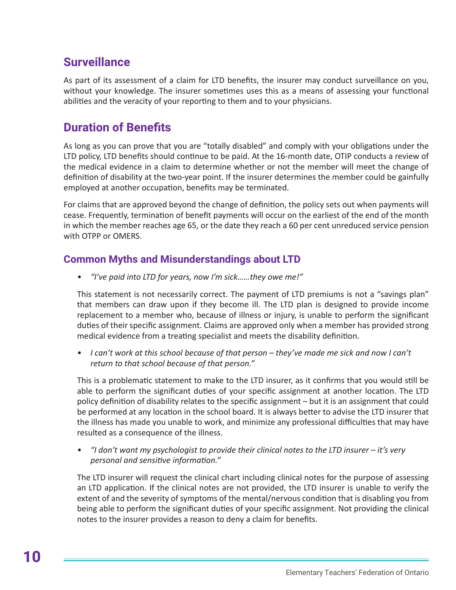# **Surveillance**

As part of its assessment of a claim for LTD benefits, the insurer may conduct surveillance on you, without your knowledge. The insurer sometimes uses this as a means of assessing your functional abilities and the veracity of your reporting to them and to your physicians.

# **Duration of Benefits**

As long as you can prove that you are "totally disabled" and comply with your obligations under the LTD policy, LTD benefits should continue to be paid. At the 16-month date, OTIP conducts a review of the medical evidence in a claim to determine whether or not the member will meet the change of definition of disability at the two-year point. If the insurer determines the member could be gainfully employed at another occupation, benefits may be terminated.

For claims that are approved beyond the change of definition, the policy sets out when payments will cease. Frequently, termination of benefit payments will occur on the earliest of the end of the month in which the member reaches age 65, or the date they reach a 60 per cent unreduced service pension with OTPP or OMERS.

#### **Common Myths and Misunderstandings about LTD**

*• "I've paid into LTD for years, now I'm sick……they owe me!"*

This statement is not necessarily correct. The payment of LTD premiums is not a "savings plan" that members can draw upon if they become ill. The LTD plan is designed to provide income replacement to a member who, because of illness or injury, is unable to perform the significant duties of their specific assignment. Claims are approved only when a member has provided strong medical evidence from a treating specialist and meets the disability definition.

*• I can't work at this school because of that person – they've made me sick and now I can't return to that school because of that person."*

This is a problematic statement to make to the LTD insurer, as it confirms that you would still be able to perform the significant duties of your specific assignment at another location. The LTD policy definition of disability relates to the specific assignment – but it is an assignment that could be performed at any location in the school board. It is always better to advise the LTD insurer that the illness has made you unable to work, and minimize any professional difficulties that may have resulted as a consequence of the illness.

*• "I don't want my psychologist to provide their clinical notes to the LTD insurer – it's very personal and sensitive information."*

The LTD insurer will request the clinical chart including clinical notes for the purpose of assessing an LTD application. If the clinical notes are not provided, the LTD insurer is unable to verify the extent of and the severity of symptoms of the mental/nervous condition that is disabling you from being able to perform the significant duties of your specific assignment. Not providing the clinical notes to the insurer provides a reason to deny a claim for benefits.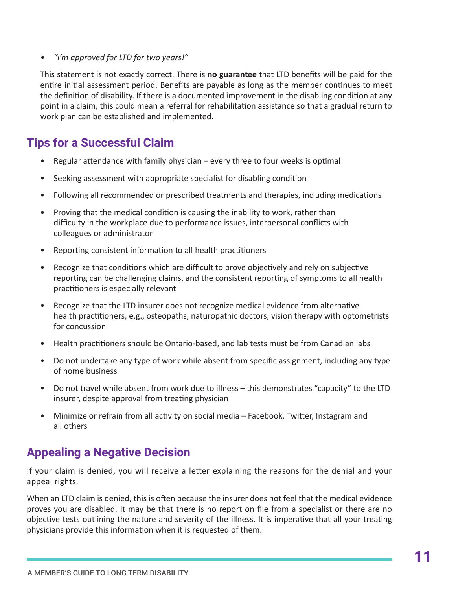*• "I'm approved for LTD for two years!"*

This statement is not exactly correct. There is **no guarantee** that LTD benefits will be paid for the entire initial assessment period. Benefits are payable as long as the member continues to meet the definition of disability. If there is a documented improvement in the disabling condition at any point in a claim, this could mean a referral for rehabilitation assistance so that a gradual return to work plan can be established and implemented.

# **Tips for a Successful Claim**

- Regular attendance with family physician every three to four weeks is optimal
- Seeking assessment with appropriate specialist for disabling condition
- Following all recommended or prescribed treatments and therapies, including medications
- Proving that the medical condition is causing the inability to work, rather than difficulty in the workplace due to performance issues, interpersonal conflicts with colleagues or administrator
- Reporting consistent information to all health practitioners
- Recognize that conditions which are difficult to prove objectively and rely on subjective reporting can be challenging claims, and the consistent reporting of symptoms to all health practitioners is especially relevant
- Recognize that the LTD insurer does not recognize medical evidence from alternative health practitioners, e.g., osteopaths, naturopathic doctors, vision therapy with optometrists for concussion
- Health practitioners should be Ontario-based, and lab tests must be from Canadian labs
- Do not undertake any type of work while absent from specific assignment, including any type of home business
- Do not travel while absent from work due to illness this demonstrates "capacity" to the LTD insurer, despite approval from treating physician
- Minimize or refrain from all activity on social media Facebook, Twitter, Instagram and all others

# **Appealing a Negative Decision**

If your claim is denied, you will receive a letter explaining the reasons for the denial and your appeal rights.

When an LTD claim is denied, this is often because the insurer does not feel that the medical evidence proves you are disabled. It may be that there is no report on file from a specialist or there are no objective tests outlining the nature and severity of the illness. It is imperative that all your treating physicians provide this information when it is requested of them.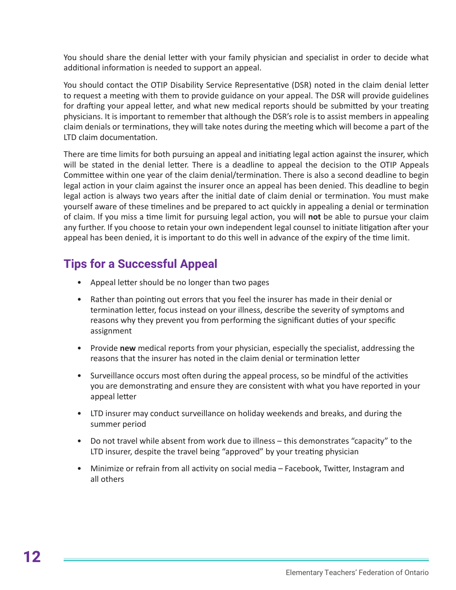You should share the denial letter with your family physician and specialist in order to decide what additional information is needed to support an appeal.

You should contact the OTIP Disability Service Representative (DSR) noted in the claim denial letter to request a meeting with them to provide guidance on your appeal. The DSR will provide guidelines for drafting your appeal letter, and what new medical reports should be submitted by your treating physicians. It is important to remember that although the DSR's role is to assist members in appealing claim denials or terminations, they will take notes during the meeting which will become a part of the LTD claim documentation.

There are time limits for both pursuing an appeal and initiating legal action against the insurer, which will be stated in the denial letter. There is a deadline to appeal the decision to the OTIP Appeals Committee within one year of the claim denial/termination. There is also a second deadline to begin legal action in your claim against the insurer once an appeal has been denied. This deadline to begin legal action is always two years after the initial date of claim denial or termination. You must make yourself aware of these timelines and be prepared to act quickly in appealing a denial or termination of claim. If you miss a time limit for pursuing legal action, you will **not** be able to pursue your claim any further. If you choose to retain your own independent legal counsel to initiate litigation after your appeal has been denied, it is important to do this well in advance of the expiry of the time limit.

# **Tips for a Successful Appeal**

- Appeal letter should be no longer than two pages
- Rather than pointing out errors that you feel the insurer has made in their denial or termination letter, focus instead on your illness, describe the severity of symptoms and reasons why they prevent you from performing the significant duties of your specific assignment
- Provide **new** medical reports from your physician, especially the specialist, addressing the reasons that the insurer has noted in the claim denial or termination letter
- Surveillance occurs most often during the appeal process, so be mindful of the activities you are demonstrating and ensure they are consistent with what you have reported in your appeal letter
- LTD insurer may conduct surveillance on holiday weekends and breaks, and during the summer period
- Do not travel while absent from work due to illness this demonstrates "capacity" to the LTD insurer, despite the travel being "approved" by your treating physician
- Minimize or refrain from all activity on social media Facebook, Twitter, Instagram and all others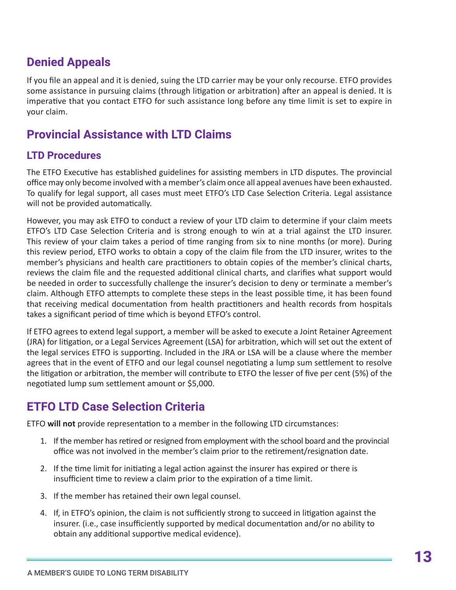# **Denied Appeals**

If you file an appeal and it is denied, suing the LTD carrier may be your only recourse. ETFO provides some assistance in pursuing claims (through litigation or arbitration) after an appeal is denied. It is imperative that you contact ETFO for such assistance long before any time limit is set to expire in your claim.

# **Provincial Assistance with LTD Claims**

#### **LTD Procedures**

The ETFO Executive has established guidelines for assisting members in LTD disputes. The provincial office may only become involved with a member's claim once all appeal avenues have been exhausted. To qualify for legal support, all cases must meet ETFO's LTD Case Selection Criteria. Legal assistance will not be provided automatically.

However, you may ask ETFO to conduct a review of your LTD claim to determine if your claim meets ETFO's LTD Case Selection Criteria and is strong enough to win at a trial against the LTD insurer. This review of your claim takes a period of time ranging from six to nine months (or more). During this review period, ETFO works to obtain a copy of the claim file from the LTD insurer, writes to the member's physicians and health care practitioners to obtain copies of the member's clinical charts, reviews the claim file and the requested additional clinical charts, and clarifies what support would be needed in order to successfully challenge the insurer's decision to deny or terminate a member's claim. Although ETFO attempts to complete these steps in the least possible time, it has been found that receiving medical documentation from health practitioners and health records from hospitals takes a significant period of time which is beyond ETFO's control.

If ETFO agrees to extend legal support, a member will be asked to execute a Joint Retainer Agreement (JRA) for litigation, or a Legal Services Agreement (LSA) for arbitration, which will set out the extent of the legal services ETFO is supporting. Included in the JRA or LSA will be a clause where the member agrees that in the event of ETFO and our legal counsel negotiating a lump sum settlement to resolve the litigation or arbitration, the member will contribute to ETFO the lesser of five per cent (5%) of the negotiated lump sum settlement amount or \$5,000.

# **ETFO LTD Case Selection Criteria**

ETFO **will not** provide representation to a member in the following LTD circumstances:

- 1. If the member has retired or resigned from employment with the school board and the provincial office was not involved in the member's claim prior to the retirement/resignation date.
- 2. If the time limit for initiating a legal action against the insurer has expired or there is insufficient time to review a claim prior to the expiration of a time limit.
- 3. If the member has retained their own legal counsel.
- 4. If, in ETFO's opinion, the claim is not sufficiently strong to succeed in litigation against the insurer. (i.e., case insufficiently supported by medical documentation and/or no ability to obtain any additional supportive medical evidence).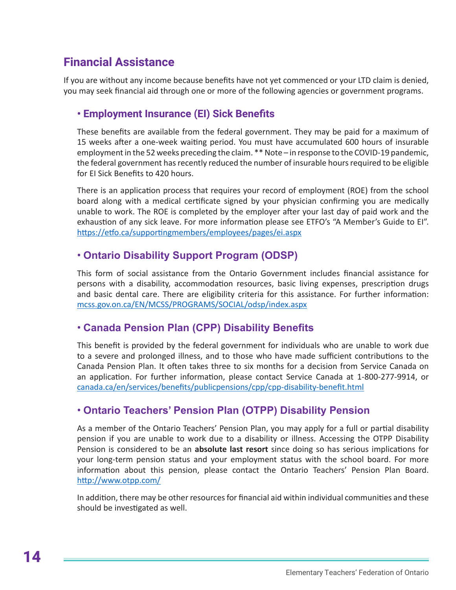# **Financial Assistance**

If you are without any income because benefits have not yet commenced or your LTD claim is denied, you may seek financial aid through one or more of the following agencies or government programs.

#### **• Employment Insurance (EI) Sick Benefits**

These benefits are available from the federal government. They may be paid for a maximum of 15 weeks after a one-week waiting period. You must have accumulated 600 hours of insurable employment in the 52 weeks preceding the claim. \*\* Note – in response to the COVID-19 pandemic, the federal government has recently reduced the number of insurable hours required to be eligible for EI Sick Benefits to 420 hours.

There is an application process that requires your record of employment (ROE) from the school board along with a medical certificate signed by your physician confirming you are medically unable to work. The ROE is completed by the employer after your last day of paid work and the exhaustion of any sick leave. For more information please see ETFO's "A Member's Guide to EI". <https://etfo.ca/supportingmembers/employees/pages/ei.aspx>

#### **• Ontario Disability Support Program (ODSP)**

This form of social assistance from the Ontario Government includes financial assistance for persons with a disability, accommodation resources, basic living expenses, prescription drugs and basic dental care. There are eligibility criteria for this assistance. For further information: [mcss.gov.on.ca/EN/MCSS/PROGRAMS/SOCIAL/odsp/index.aspx](C:\\Users\\emcgr\\Downloads\\mcss.gov.on.ca\\EN\\MCSS\\PROGRAMS\\SOCIAL\\odsp\\index.aspx)

#### **• Canada Pension Plan (CPP) Disability Benefits**

This benefit is provided by the federal government for individuals who are unable to work due to a severe and prolonged illness, and to those who have made sufficient contributions to the Canada Pension Plan. It often takes three to six months for a decision from Service Canada on an application. For further information, please contact Service Canada at 1-800-277-9914, or [canada.ca/en/services/benefits/publicpensions/cpp/cpp-disability-benefit.html](C:\\Users\\emcgr\\Downloads\\.canada.ca\\en\\services\\benefits\\publicpensions\\cpp\\cpp-disability-benefit.html)

#### **• Ontario Teachers' Pension Plan (OTPP) Disability Pension**

As a member of the Ontario Teachers' Pension Plan, you may apply for a full or partial disability pension if you are unable to work due to a disability or illness. Accessing the OTPP Disability Pension is considered to be an **absolute last resort** since doing so has serious implications for your long-term pension status and your employment status with the school board. For more information about this pension, please contact the Ontario Teachers' Pension Plan Board. <http://www.otpp.com/>

In addition, there may be other resources for financial aid within individual communities and these should be investigated as well.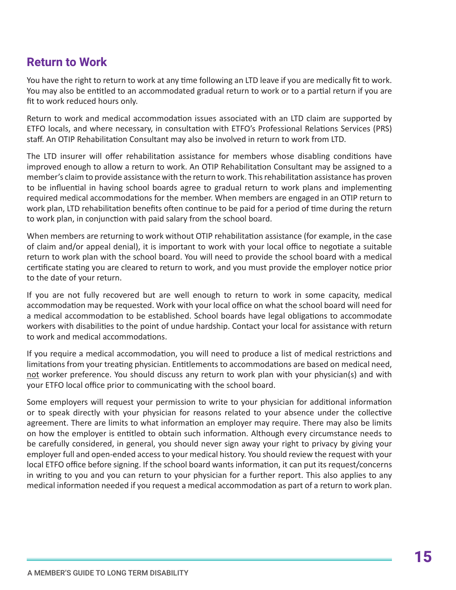# **Return to Work**

You have the right to return to work at any time following an LTD leave if you are medically fit to work. You may also be entitled to an accommodated gradual return to work or to a partial return if you are fit to work reduced hours only.

Return to work and medical accommodation issues associated with an LTD claim are supported by ETFO locals, and where necessary, in consultation with ETFO's Professional Relations Services (PRS) staff. An OTIP Rehabilitation Consultant may also be involved in return to work from LTD.

The LTD insurer will offer rehabilitation assistance for members whose disabling conditions have improved enough to allow a return to work. An OTIP Rehabilitation Consultant may be assigned to a member's claim to provide assistance with the return to work. This rehabilitation assistance has proven to be influential in having school boards agree to gradual return to work plans and implementing required medical accommodations for the member. When members are engaged in an OTIP return to work plan, LTD rehabilitation benefits often continue to be paid for a period of time during the return to work plan, in conjunction with paid salary from the school board.

When members are returning to work without OTIP rehabilitation assistance (for example, in the case of claim and/or appeal denial), it is important to work with your local office to negotiate a suitable return to work plan with the school board. You will need to provide the school board with a medical certificate stating you are cleared to return to work, and you must provide the employer notice prior to the date of your return.

If you are not fully recovered but are well enough to return to work in some capacity, medical accommodation may be requested. Work with your local office on what the school board will need for a medical accommodation to be established. School boards have legal obligations to accommodate workers with disabilities to the point of undue hardship. Contact your local for assistance with return to work and medical accommodations.

If you require a medical accommodation, you will need to produce a list of medical restrictions and limitations from your treating physician. Entitlements to accommodations are based on medical need, not worker preference. You should discuss any return to work plan with your physician(s) and with your ETFO local office prior to communicating with the school board.

Some employers will request your permission to write to your physician for additional information or to speak directly with your physician for reasons related to your absence under the collective agreement. There are limits to what information an employer may require. There may also be limits on how the employer is entitled to obtain such information. Although every circumstance needs to be carefully considered, in general, you should never sign away your right to privacy by giving your employer full and open-ended access to your medical history. You should review the request with your local ETFO office before signing. If the school board wants information, it can put its request/concerns in writing to you and you can return to your physician for a further report. This also applies to any medical information needed if you request a medical accommodation as part of a return to work plan.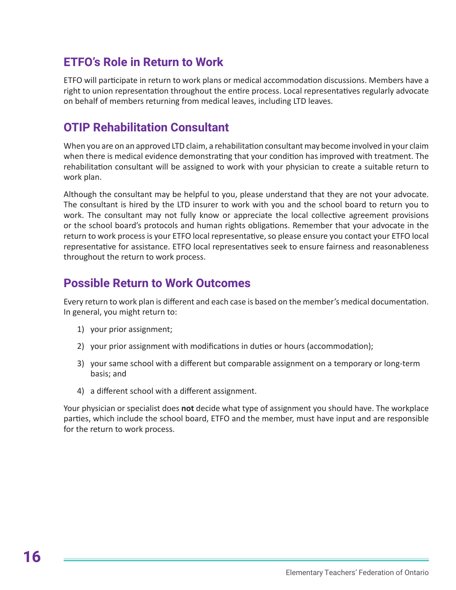# **ETFO's Role in Return to Work**

ETFO will participate in return to work plans or medical accommodation discussions. Members have a right to union representation throughout the entire process. Local representatives regularly advocate on behalf of members returning from medical leaves, including LTD leaves.

# **OTIP Rehabilitation Consultant**

When you are on an approved LTD claim, a rehabilitation consultant may become involved in your claim when there is medical evidence demonstrating that your condition has improved with treatment. The rehabilitation consultant will be assigned to work with your physician to create a suitable return to work plan.

Although the consultant may be helpful to you, please understand that they are not your advocate. The consultant is hired by the LTD insurer to work with you and the school board to return you to work. The consultant may not fully know or appreciate the local collective agreement provisions or the school board's protocols and human rights obligations. Remember that your advocate in the return to work process is your ETFO local representative, so please ensure you contact your ETFO local representative for assistance. ETFO local representatives seek to ensure fairness and reasonableness throughout the return to work process.

# **Possible Return to Work Outcomes**

Every return to work plan is different and each case is based on the member's medical documentation. In general, you might return to:

- 1) your prior assignment;
- 2) your prior assignment with modifications in duties or hours (accommodation);
- 3) your same school with a different but comparable assignment on a temporary or long-term basis; and
- 4) a different school with a different assignment.

Your physician or specialist does **not** decide what type of assignment you should have. The workplace parties, which include the school board, ETFO and the member, must have input and are responsible for the return to work process.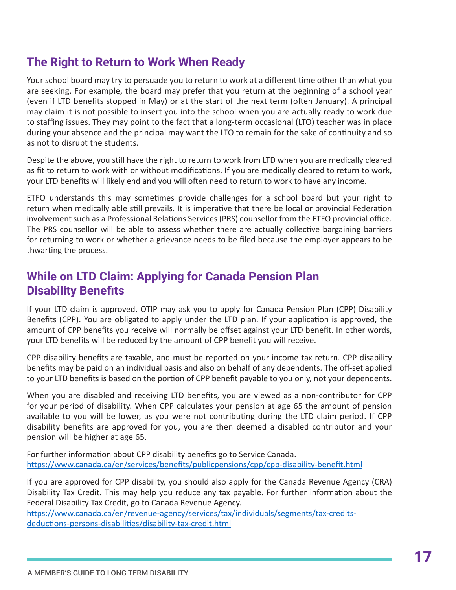# **The Right to Return to Work When Ready**

Your school board may try to persuade you to return to work at a different time other than what you are seeking. For example, the board may prefer that you return at the beginning of a school year (even if LTD benefits stopped in May) or at the start of the next term (often January). A principal may claim it is not possible to insert you into the school when you are actually ready to work due to staffing issues. They may point to the fact that a long-term occasional (LTO) teacher was in place during your absence and the principal may want the LTO to remain for the sake of continuity and so as not to disrupt the students.

Despite the above, you still have the right to return to work from LTD when you are medically cleared as fit to return to work with or without modifications. If you are medically cleared to return to work, your LTD benefits will likely end and you will often need to return to work to have any income.

ETFO understands this may sometimes provide challenges for a school board but your right to return when medically able still prevails. It is imperative that there be local or provincial Federation involvement such as a Professional Relations Services (PRS) counsellor from the ETFO provincial office. The PRS counsellor will be able to assess whether there are actually collective bargaining barriers for returning to work or whether a grievance needs to be filed because the employer appears to be thwarting the process.

# **While on LTD Claim: Applying for Canada Pension Plan Disability Benefits**

If your LTD claim is approved, OTIP may ask you to apply for Canada Pension Plan (CPP) Disability Benefits (CPP). You are obligated to apply under the LTD plan. If your application is approved, the amount of CPP benefits you receive will normally be offset against your LTD benefit. In other words, your LTD benefits will be reduced by the amount of CPP benefit you will receive.

CPP disability benefits are taxable, and must be reported on your income tax return. CPP disability benefits may be paid on an individual basis and also on behalf of any dependents. The off-set applied to your LTD benefits is based on the portion of CPP benefit payable to you only, not your dependents.

When you are disabled and receiving LTD benefits, you are viewed as a non-contributor for CPP for your period of disability. When CPP calculates your pension at age 65 the amount of pension available to you will be lower, as you were not contributing during the LTD claim period. If CPP disability benefits are approved for you, you are then deemed a disabled contributor and your pension will be higher at age 65.

For further information about CPP disability benefits go to Service Canada. <https://www.canada.ca/en/services/benefits/publicpensions/cpp/cpp-disability-benefit.html>

If you are approved for CPP disability, you should also apply for the Canada Revenue Agency (CRA) Disability Tax Credit. This may help you reduce any tax payable. For further information about the Federal Disability Tax Credit, go to Canada Revenue Agency.

[https://www.canada.ca/en/revenue-agency/services/tax/individuals/segments/tax-credits](https://www.canada.ca/en/revenue-agency/services/tax/individuals/segments/tax-credits-deductions-persons-disabilities/disability-tax-credit.html)[deductions-persons-disabilities/disability-tax-credit.html](https://www.canada.ca/en/revenue-agency/services/tax/individuals/segments/tax-credits-deductions-persons-disabilities/disability-tax-credit.html)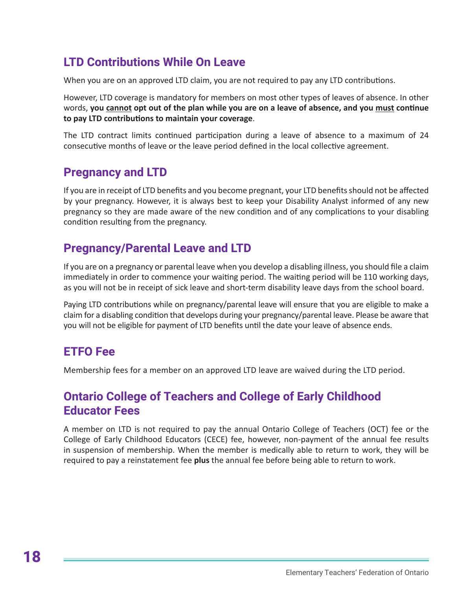# **LTD Contributions While On Leave**

When you are on an approved LTD claim, you are not required to pay any LTD contributions.

However, LTD coverage is mandatory for members on most other types of leaves of absence. In other words, **you cannot opt out of the plan while you are on a leave of absence, and you must continue to pay LTD contributions to maintain your coverage**.

The LTD contract limits continued participation during a leave of absence to a maximum of 24 consecutive months of leave or the leave period defined in the local collective agreement.

#### **Pregnancy and LTD**

If you are in receipt of LTD benefits and you become pregnant, your LTD benefits should not be affected by your pregnancy. However, it is always best to keep your Disability Analyst informed of any new pregnancy so they are made aware of the new condition and of any complications to your disabling condition resulting from the pregnancy.

# **Pregnancy/Parental Leave and LTD**

If you are on a pregnancy or parental leave when you develop a disabling illness, you should file a claim immediately in order to commence your waiting period. The waiting period will be 110 working days, as you will not be in receipt of sick leave and short-term disability leave days from the school board.

Paying LTD contributions while on pregnancy/parental leave will ensure that you are eligible to make a claim for a disabling condition that develops during your pregnancy/parental leave. Please be aware that you will not be eligible for payment of LTD benefits until the date your leave of absence ends.

#### **ETFO Fee**

Membership fees for a member on an approved LTD leave are waived during the LTD period.

# **Ontario College of Teachers and College of Early Childhood Educator Fees**

A member on LTD is not required to pay the annual Ontario College of Teachers (OCT) fee or the College of Early Childhood Educators (CECE) fee, however, non-payment of the annual fee results in suspension of membership. When the member is medically able to return to work, they will be required to pay a reinstatement fee **plus** the annual fee before being able to return to work.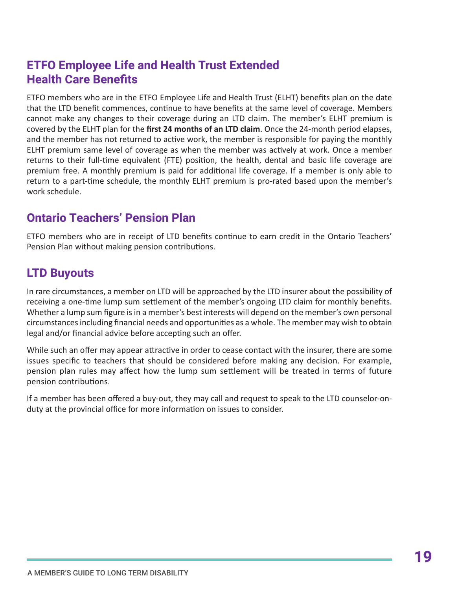# **ETFO Employee Life and Health Trust Extended Health Care Benefits**

ETFO members who are in the ETFO Employee Life and Health Trust (ELHT) benefits plan on the date that the LTD benefit commences, continue to have benefits at the same level of coverage. Members cannot make any changes to their coverage during an LTD claim. The member's ELHT premium is covered by the ELHT plan for the **first 24 months of an LTD claim**. Once the 24-month period elapses, and the member has not returned to active work, the member is responsible for paying the monthly ELHT premium same level of coverage as when the member was actively at work. Once a member returns to their full-time equivalent (FTE) position, the health, dental and basic life coverage are premium free. A monthly premium is paid for additional life coverage. If a member is only able to return to a part-time schedule, the monthly ELHT premium is pro-rated based upon the member's work schedule.

# **Ontario Teachers' Pension Plan**

ETFO members who are in receipt of LTD benefits continue to earn credit in the Ontario Teachers' Pension Plan without making pension contributions.

# **LTD Buyouts**

In rare circumstances, a member on LTD will be approached by the LTD insurer about the possibility of receiving a one-time lump sum settlement of the member's ongoing LTD claim for monthly benefits. Whether a lump sum figure is in a member's best interests will depend on the member's own personal circumstances including financial needs and opportunities as a whole. The member may wish to obtain legal and/or financial advice before accepting such an offer.

While such an offer may appear attractive in order to cease contact with the insurer, there are some issues specific to teachers that should be considered before making any decision. For example, pension plan rules may affect how the lump sum settlement will be treated in terms of future pension contributions.

If a member has been offered a buy-out, they may call and request to speak to the LTD counselor-onduty at the provincial office for more information on issues to consider.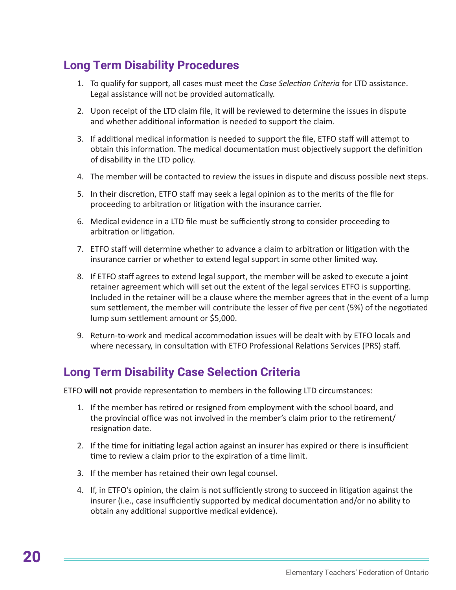# **Long Term Disability Procedures**

- 1. To qualify for support, all cases must meet the *Case Selection Criteria* for LTD assistance. Legal assistance will not be provided automatically.
- 2. Upon receipt of the LTD claim file, it will be reviewed to determine the issues in dispute and whether additional information is needed to support the claim.
- 3. If additional medical information is needed to support the file, ETFO staff will attempt to obtain this information. The medical documentation must objectively support the definition of disability in the LTD policy.
- 4. The member will be contacted to review the issues in dispute and discuss possible next steps.
- 5. In their discretion, ETFO staff may seek a legal opinion as to the merits of the file for proceeding to arbitration or litigation with the insurance carrier.
- 6. Medical evidence in a LTD file must be sufficiently strong to consider proceeding to arbitration or litigation.
- 7. ETFO staff will determine whether to advance a claim to arbitration or litigation with the insurance carrier or whether to extend legal support in some other limited way.
- 8. If ETFO staff agrees to extend legal support, the member will be asked to execute a joint retainer agreement which will set out the extent of the legal services ETFO is supporting. Included in the retainer will be a clause where the member agrees that in the event of a lump sum settlement, the member will contribute the lesser of five per cent (5%) of the negotiated lump sum settlement amount or \$5,000.
- 9. Return-to-work and medical accommodation issues will be dealt with by ETFO locals and where necessary, in consultation with ETFO Professional Relations Services (PRS) staff.

# **Long Term Disability Case Selection Criteria**

ETFO **will not** provide representation to members in the following LTD circumstances:

- 1. If the member has retired or resigned from employment with the school board, and the provincial office was not involved in the member's claim prior to the retirement/ resignation date.
- 2. If the time for initiating legal action against an insurer has expired or there is insufficient time to review a claim prior to the expiration of a time limit.
- 3. If the member has retained their own legal counsel.
- 4. If, in ETFO's opinion, the claim is not sufficiently strong to succeed in litigation against the insurer (i.e., case insufficiently supported by medical documentation and/or no ability to obtain any additional supportive medical evidence).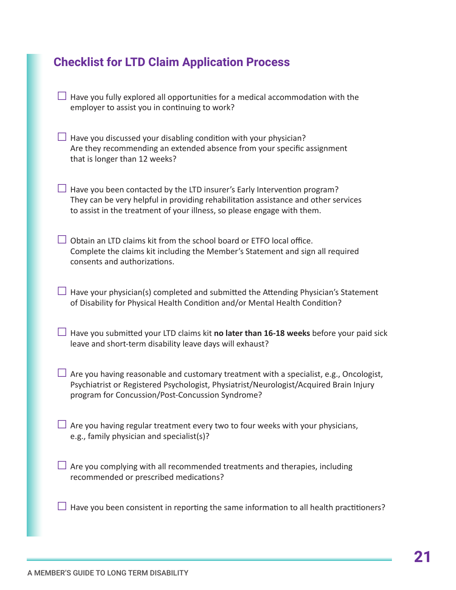# **Checklist for LTD Claim Application Process**

- $\Box$  Have you fully explored all opportunities for a medical accommodation with the employer to assist you in continuing to work?
- $\Box$  Have you discussed your disabling condition with your physician? Are they recommending an extended absence from your specific assignment that is longer than 12 weeks?
- $\Box$  Have you been contacted by the LTD insurer's Early Intervention program? They can be very helpful in providing rehabilitation assistance and other services to assist in the treatment of your illness, so please engage with them.
- $\Box$  Obtain an LTD claims kit from the school board or ETFO local office. Complete the claims kit including the Member's Statement and sign all required consents and authorizations.
- $\Box$  Have your physician(s) completed and submitted the Attending Physician's Statement of Disability for Physical Health Condition and/or Mental Health Condition?
- □ Have you submitted your LTD claims kit **no later than 16-18 weeks** before your paid sick leave and short-term disability leave days will exhaust?
- $\Box$  Are you having reasonable and customary treatment with a specialist, e.g., Oncologist, Psychiatrist or Registered Psychologist, Physiatrist/Neurologist/Acquired Brain Injury program for Concussion/Post-Concussion Syndrome?
- $\Box$  Are you having regular treatment every two to four weeks with your physicians, e.g., family physician and specialist(s)?
- $\Box$  Are you complying with all recommended treatments and therapies, including recommended or prescribed medications?
- $\Box$  Have you been consistent in reporting the same information to all health practitioners?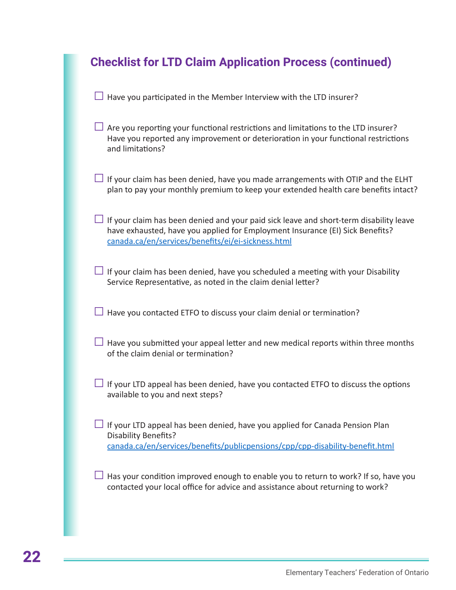| <b>Checklist for LTD Claim Application Process (continued)</b>                                                                                                                                                                       |  |  |
|--------------------------------------------------------------------------------------------------------------------------------------------------------------------------------------------------------------------------------------|--|--|
| Have you participated in the Member Interview with the LTD insurer?                                                                                                                                                                  |  |  |
| $\Box$ Are you reporting your functional restrictions and limitations to the LTD insurer?<br>Have you reported any improvement or deterioration in your functional restrictions<br>and limitations?                                  |  |  |
| $\Box$ If your claim has been denied, have you made arrangements with OTIP and the ELHT<br>plan to pay your monthly premium to keep your extended health care benefits intact?                                                       |  |  |
| $\Box$ If your claim has been denied and your paid sick leave and short-term disability leave<br>have exhausted, have you applied for Employment Insurance (EI) Sick Benefits?<br>canada.ca/en/services/benefits/ei/ei-sickness.html |  |  |
| $\Box$ If your claim has been denied, have you scheduled a meeting with your Disability<br>Service Representative, as noted in the claim denial letter?                                                                              |  |  |
| Have you contacted ETFO to discuss your claim denial or termination?                                                                                                                                                                 |  |  |
| $\Box$ Have you submitted your appeal letter and new medical reports within three months<br>of the claim denial or termination?                                                                                                      |  |  |
| $\Box$ If your LTD appeal has been denied, have you contacted ETFO to discuss the options<br>available to you and next steps?                                                                                                        |  |  |
| $\perp$ If your LTD appeal has been denied, have you applied for Canada Pension Plan<br><b>Disability Benefits?</b><br>canada.ca/en/services/benefits/publicpensions/cpp/cpp-disability-benefit.html                                 |  |  |
| Has your condition improved enough to enable you to return to work? If so, have you<br>contacted your local office for advice and assistance about returning to work?                                                                |  |  |
|                                                                                                                                                                                                                                      |  |  |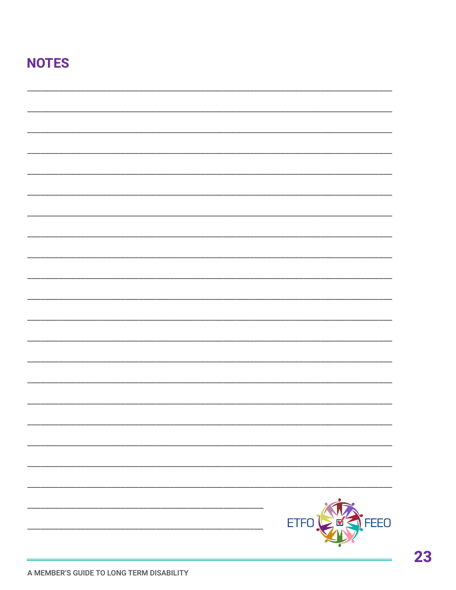# **NOTES**

| <u> 1980 - Johann John Stone, mars eta biztanleria (</u> | ETFO                                 |
|----------------------------------------------------------|--------------------------------------|
|                                                          | <b>FEEO</b><br>$\geq$ $\blacksquare$ |
|                                                          |                                      |